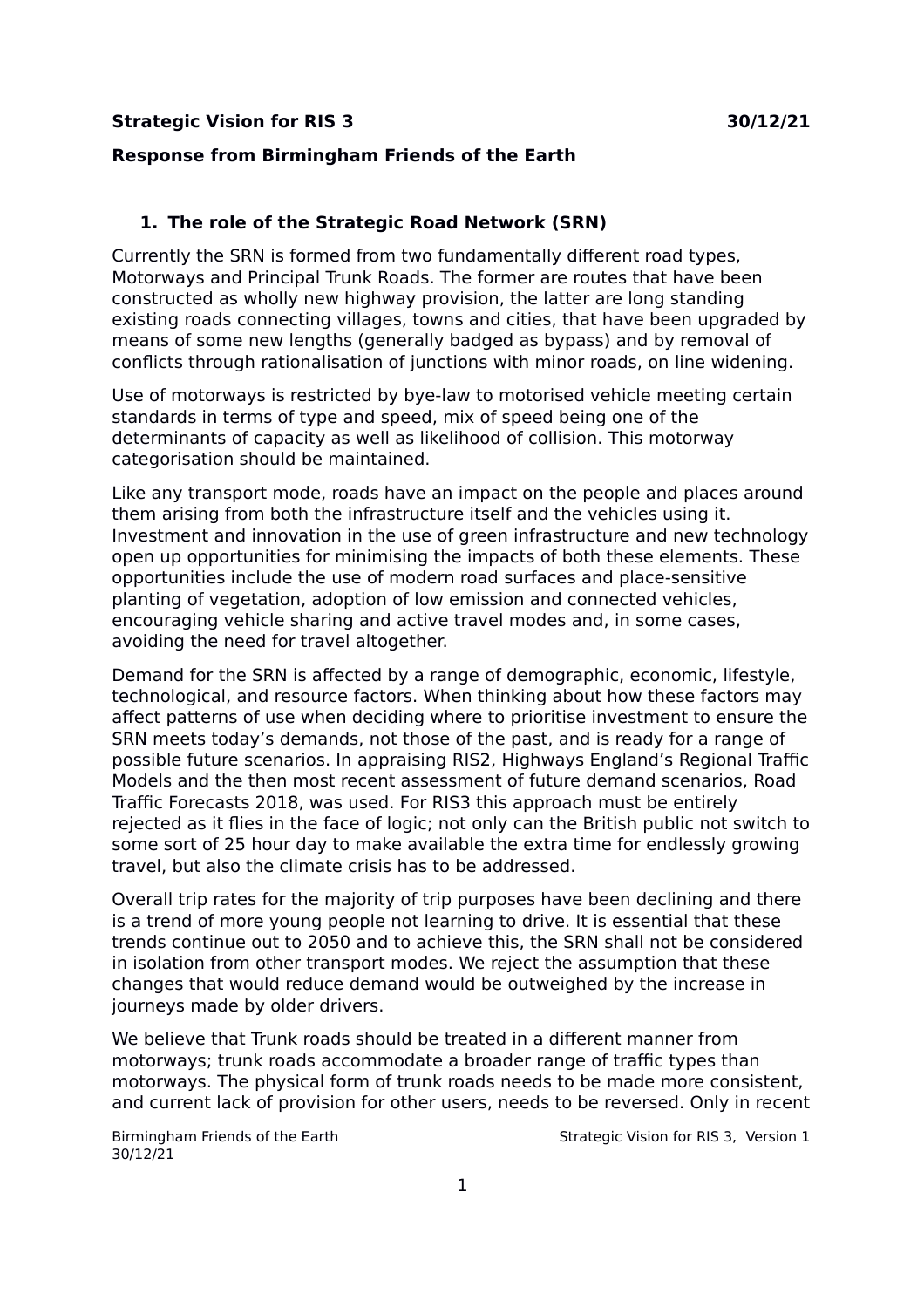### **Strategic Vision for RIS 3 30/12/21**

### **Response from Birmingham Friends of the Earth**

## **1. The role of the Strategic Road Network (SRN)**

Currently the SRN is formed from two fundamentally different road types, Motorways and Principal Trunk Roads. The former are routes that have been constructed as wholly new highway provision, the latter are long standing existing roads connecting villages, towns and cities, that have been upgraded by means of some new lengths (generally badged as bypass) and by removal of conflicts through rationalisation of junctions with minor roads, on line widening.

Use of motorways is restricted by bye-law to motorised vehicle meeting certain standards in terms of type and speed, mix of speed being one of the determinants of capacity as well as likelihood of collision. This motorway categorisation should be maintained.

Like any transport mode, roads have an impact on the people and places around them arising from both the infrastructure itself and the vehicles using it. Investment and innovation in the use of green infrastructure and new technology open up opportunities for minimising the impacts of both these elements. These opportunities include the use of modern road surfaces and place-sensitive planting of vegetation, adoption of low emission and connected vehicles, encouraging vehicle sharing and active travel modes and, in some cases, avoiding the need for travel altogether.

Demand for the SRN is affected by a range of demographic, economic, lifestyle, technological, and resource factors. When thinking about how these factors may affect patterns of use when deciding where to prioritise investment to ensure the SRN meets today's demands, not those of the past, and is ready for a range of possible future scenarios. In appraising RIS2, Highways England's Regional Traffic Models and the then most recent assessment of future demand scenarios, Road Traffic Forecasts 2018, was used. For RIS3 this approach must be entirely rejected as it flies in the face of logic; not only can the British public not switch to some sort of 25 hour day to make available the extra time for endlessly growing travel, but also the climate crisis has to be addressed.

Overall trip rates for the majority of trip purposes have been declining and there is a trend of more young people not learning to drive. It is essential that these trends continue out to 2050 and to achieve this, the SRN shall not be considered in isolation from other transport modes. We reject the assumption that these changes that would reduce demand would be outweighed by the increase in journeys made by older drivers.

We believe that Trunk roads should be treated in a different manner from motorways; trunk roads accommodate a broader range of traffic types than motorways. The physical form of trunk roads needs to be made more consistent, and current lack of provision for other users, needs to be reversed. Only in recent

30/12/21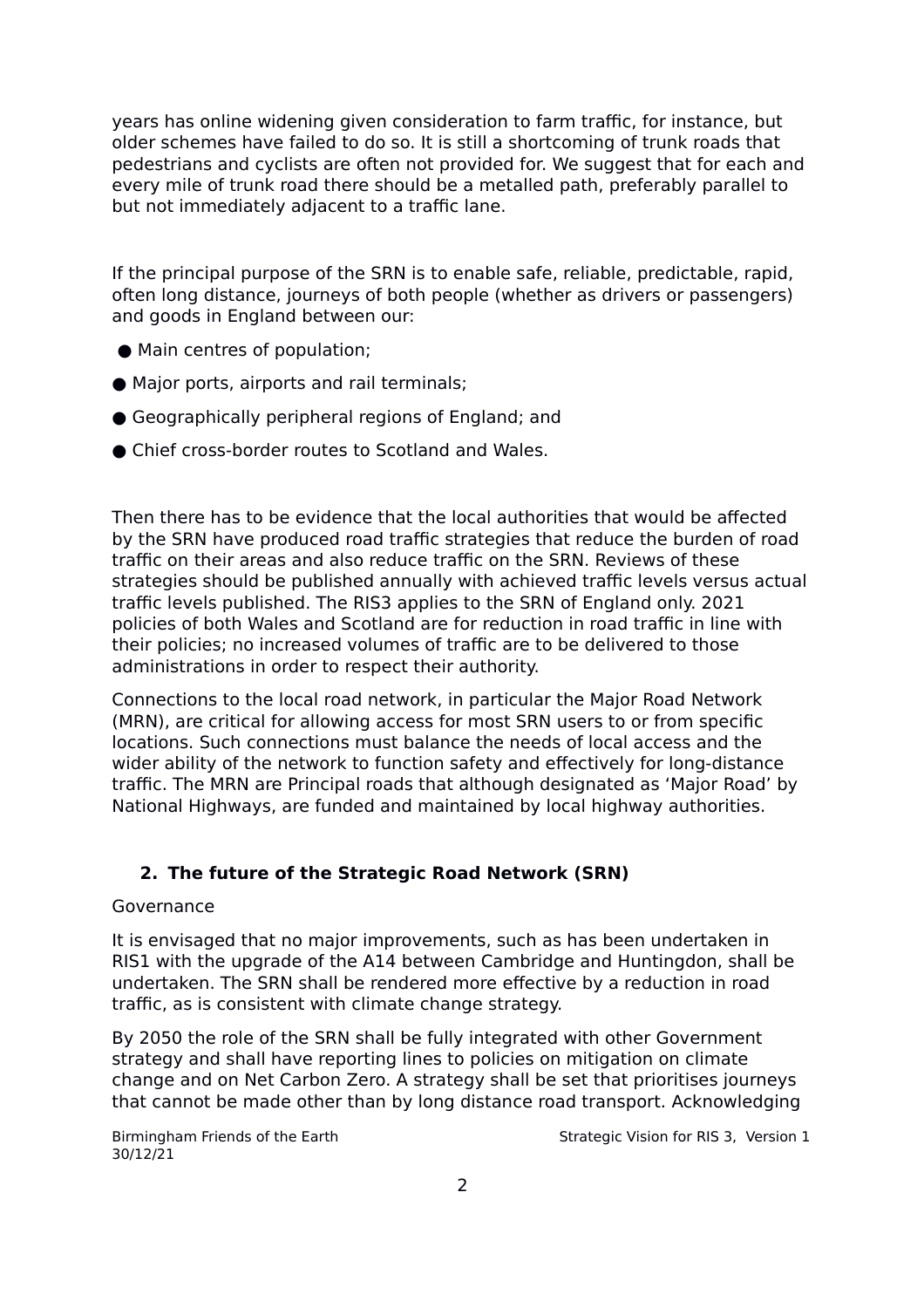years has online widening given consideration to farm traffic, for instance, but older schemes have failed to do so. It is still a shortcoming of trunk roads that pedestrians and cyclists are often not provided for. We suggest that for each and every mile of trunk road there should be a metalled path, preferably parallel to but not immediately adjacent to a traffic lane.

If the principal purpose of the SRN is to enable safe, reliable, predictable, rapid, often long distance, journeys of both people (whether as drivers or passengers) and goods in England between our:

- Main centres of population;
- Major ports, airports and rail terminals;
- Geographically peripheral regions of England; and
- Chief cross-border routes to Scotland and Wales.

Then there has to be evidence that the local authorities that would be affected by the SRN have produced road traffic strategies that reduce the burden of road traffic on their areas and also reduce traffic on the SRN. Reviews of these strategies should be published annually with achieved traffic levels versus actual traffic levels published. The RIS3 applies to the SRN of England only. 2021 policies of both Wales and Scotland are for reduction in road traffic in line with their policies; no increased volumes of traffic are to be delivered to those administrations in order to respect their authority.

Connections to the local road network, in particular the Major Road Network (MRN), are critical for allowing access for most SRN users to or from specific locations. Such connections must balance the needs of local access and the wider ability of the network to function safety and effectively for long-distance traffic. The MRN are Principal roads that although designated as 'Major Road' by National Highways, are funded and maintained by local highway authorities.

# **2. The future of the Strategic Road Network (SRN)**

# Governance

It is envisaged that no major improvements, such as has been undertaken in RIS1 with the upgrade of the A14 between Cambridge and Huntingdon, shall be undertaken. The SRN shall be rendered more effective by a reduction in road traffic, as is consistent with climate change strategy.

By 2050 the role of the SRN shall be fully integrated with other Government strategy and shall have reporting lines to policies on mitigation on climate change and on Net Carbon Zero. A strategy shall be set that prioritises journeys that cannot be made other than by long distance road transport. Acknowledging

30/12/21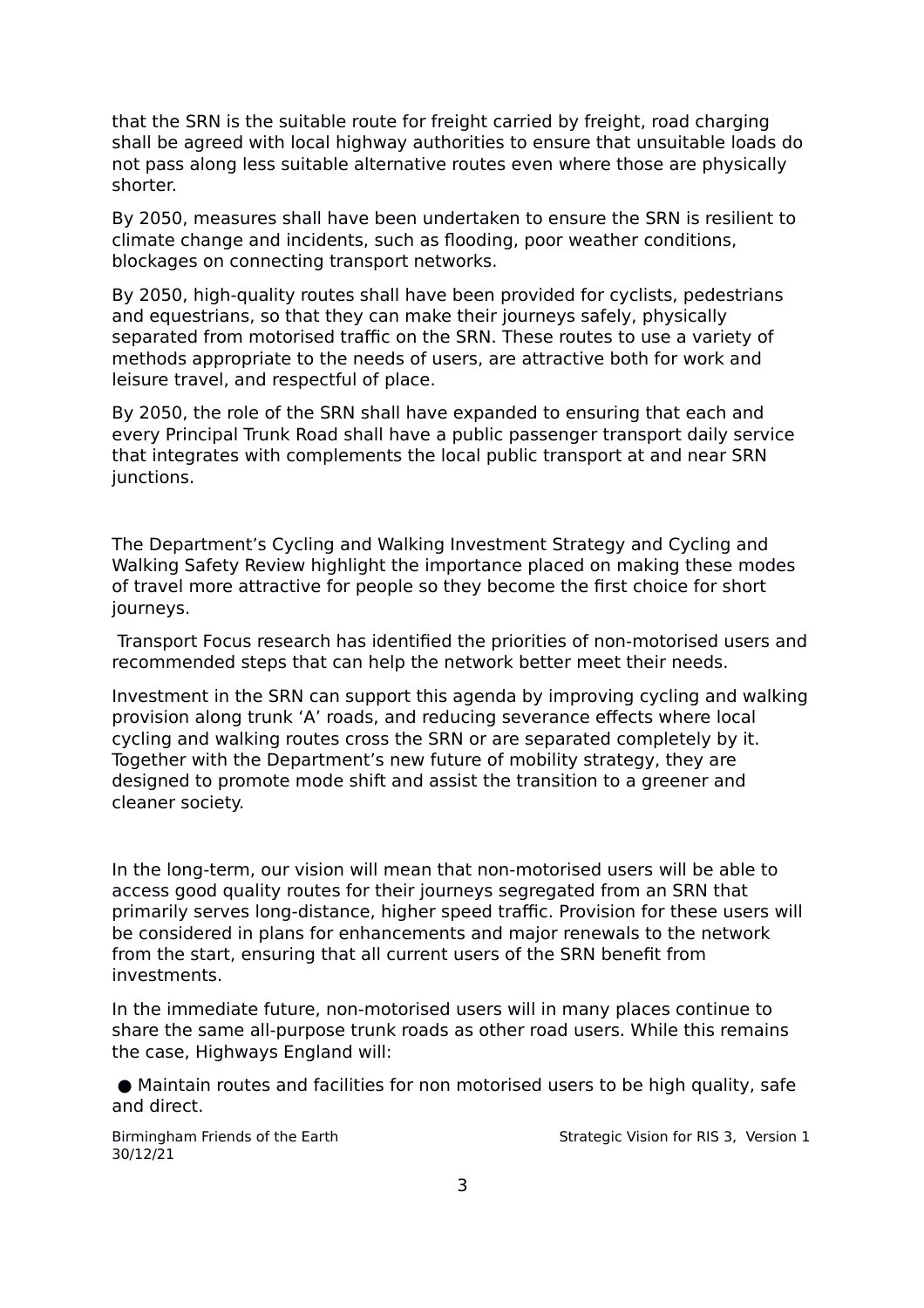that the SRN is the suitable route for freight carried by freight, road charging shall be agreed with local highway authorities to ensure that unsuitable loads do not pass along less suitable alternative routes even where those are physically shorter.

By 2050, measures shall have been undertaken to ensure the SRN is resilient to climate change and incidents, such as flooding, poor weather conditions, blockages on connecting transport networks.

By 2050, high-quality routes shall have been provided for cyclists, pedestrians and equestrians, so that they can make their journeys safely, physically separated from motorised traffic on the SRN. These routes to use a variety of methods appropriate to the needs of users, are attractive both for work and leisure travel, and respectful of place.

By 2050, the role of the SRN shall have expanded to ensuring that each and every Principal Trunk Road shall have a public passenger transport daily service that integrates with complements the local public transport at and near SRN junctions.

The Department's Cycling and Walking Investment Strategy and Cycling and Walking Safety Review highlight the importance placed on making these modes of travel more attractive for people so they become the first choice for short journeys.

Transport Focus research has identified the priorities of non-motorised users and recommended steps that can help the network better meet their needs.

Investment in the SRN can support this agenda by improving cycling and walking provision along trunk 'A' roads, and reducing severance effects where local cycling and walking routes cross the SRN or are separated completely by it. Together with the Department's new future of mobility strategy, they are designed to promote mode shift and assist the transition to a greener and cleaner society.

In the long-term, our vision will mean that non-motorised users will be able to access good quality routes for their journeys segregated from an SRN that primarily serves long-distance, higher speed traffic. Provision for these users will be considered in plans for enhancements and major renewals to the network from the start, ensuring that all current users of the SRN benefit from investments.

In the immediate future, non-motorised users will in many places continue to share the same all-purpose trunk roads as other road users. While this remains the case, Highways England will:

 ● Maintain routes and facilities for non motorised users to be high quality, safe and direct.

30/12/21